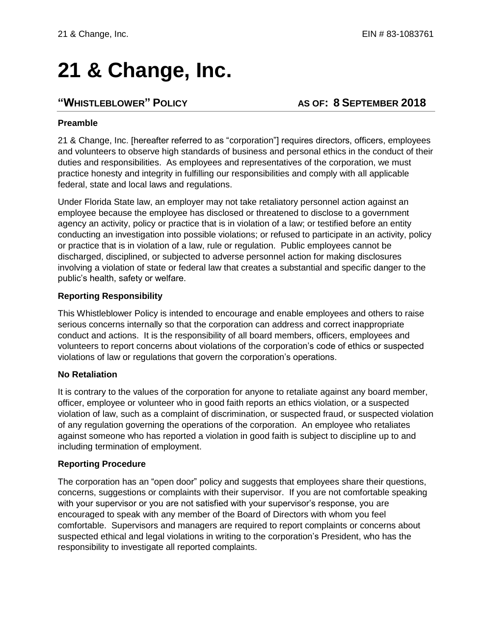# **21 & Change, Inc.**

## **"WHISTLEBLOWER" POLICY AS OF: 8 SEPTEMBER 2018**

#### **Preamble**

21 & Change, Inc. [hereafter referred to as "corporation"] requires directors, officers, employees and volunteers to observe high standards of business and personal ethics in the conduct of their duties and responsibilities. As employees and representatives of the corporation, we must practice honesty and integrity in fulfilling our responsibilities and comply with all applicable federal, state and local laws and regulations.

Under Florida State law, an employer may not take retaliatory personnel action against an employee because the employee has disclosed or threatened to disclose to a government agency an activity, policy or practice that is in violation of a law; or testified before an entity conducting an investigation into possible violations; or refused to participate in an activity, policy or practice that is in violation of a law, rule or regulation. Public employees cannot be discharged, disciplined, or subjected to adverse personnel action for making disclosures involving a violation of state or federal law that creates a substantial and specific danger to the public's health, safety or welfare.

#### **Reporting Responsibility**

This Whistleblower Policy is intended to encourage and enable employees and others to raise serious concerns internally so that the corporation can address and correct inappropriate conduct and actions. It is the responsibility of all board members, officers, employees and volunteers to report concerns about violations of the corporation's code of ethics or suspected violations of law or regulations that govern the corporation's operations.

#### **No Retaliation**

It is contrary to the values of the corporation for anyone to retaliate against any board member, officer, employee or volunteer who in good faith reports an ethics violation, or a suspected violation of law, such as a complaint of discrimination, or suspected fraud, or suspected violation of any regulation governing the operations of the corporation. An employee who retaliates against someone who has reported a violation in good faith is subject to discipline up to and including termination of employment.

#### **Reporting Procedure**

The corporation has an "open door" policy and suggests that employees share their questions, concerns, suggestions or complaints with their supervisor. If you are not comfortable speaking with your supervisor or you are not satisfied with your supervisor's response, you are encouraged to speak with any member of the Board of Directors with whom you feel comfortable. Supervisors and managers are required to report complaints or concerns about suspected ethical and legal violations in writing to the corporation's President, who has the responsibility to investigate all reported complaints.